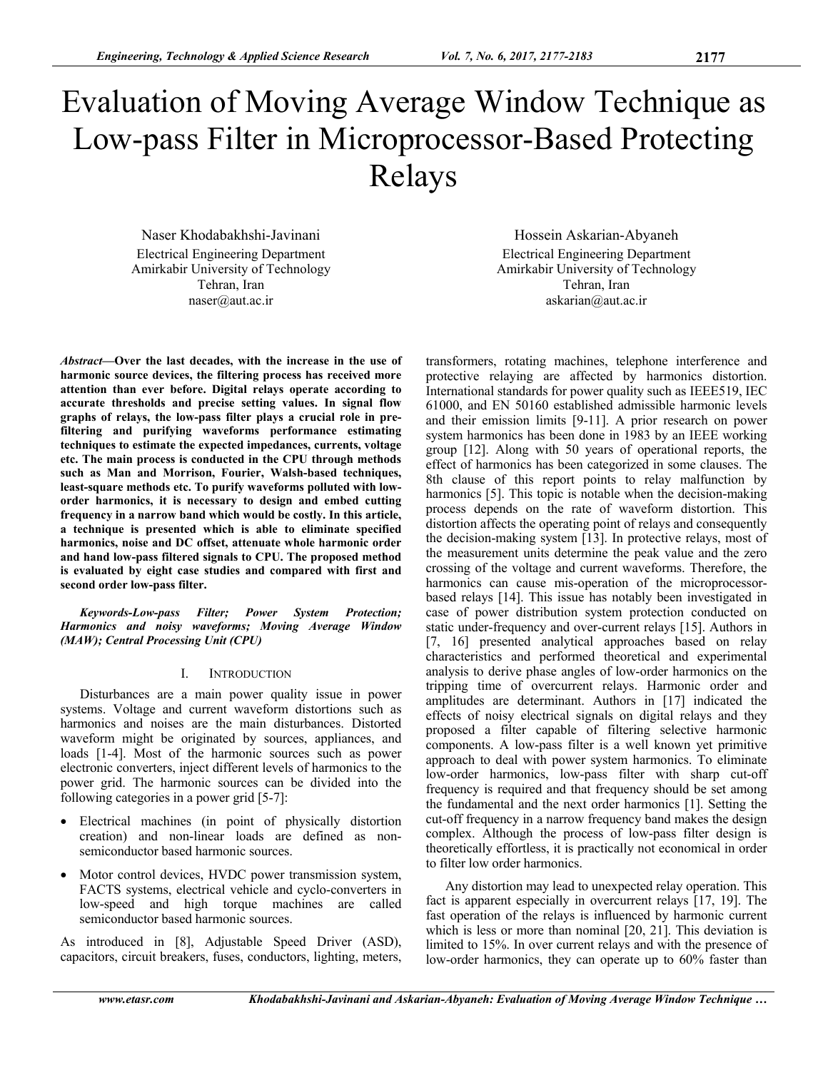# Evaluation of Moving Average Window Technique as Low-pass Filter in Microprocessor-Based Protecting Relays

Naser Khodabakhshi-Javinani Electrical Engineering Department Amirkabir University of Technology Tehran, Iran naser@aut.ac.ir

*Abstract***—Over the last decades, with the increase in the use of harmonic source devices, the filtering process has received more attention than ever before. Digital relays operate according to accurate thresholds and precise setting values. In signal flow graphs of relays, the low-pass filter plays a crucial role in prefiltering and purifying waveforms performance estimating techniques to estimate the expected impedances, currents, voltage etc. The main process is conducted in the CPU through methods such as Man and Morrison, Fourier, Walsh-based techniques, least-square methods etc. To purify waveforms polluted with loworder harmonics, it is necessary to design and embed cutting frequency in a narrow band which would be costly. In this article, a technique is presented which is able to eliminate specified harmonics, noise and DC offset, attenuate whole harmonic order and hand low-pass filtered signals to CPU. The proposed method is evaluated by eight case studies and compared with first and second order low-pass filter.** 

*Keywords-Low-pass Filter; Power System Protection; Harmonics and noisy waveforms; Moving Average Window (MAW); Central Processing Unit (CPU)* 

# I. INTRODUCTION

Disturbances are a main power quality issue in power systems. Voltage and current waveform distortions such as harmonics and noises are the main disturbances. Distorted waveform might be originated by sources, appliances, and loads [1-4]. Most of the harmonic sources such as power electronic converters, inject different levels of harmonics to the power grid. The harmonic sources can be divided into the following categories in a power grid [5-7]:

- Electrical machines (in point of physically distortion creation) and non-linear loads are defined as nonsemiconductor based harmonic sources.
- Motor control devices, HVDC power transmission system, FACTS systems, electrical vehicle and cyclo-converters in low-speed and high torque machines are called semiconductor based harmonic sources.

As introduced in [8], Adjustable Speed Driver (ASD), capacitors, circuit breakers, fuses, conductors, lighting, meters,

Hossein Askarian-Abyaneh Electrical Engineering Department Amirkabir University of Technology Tehran, Iran askarian@aut.ac.ir

transformers, rotating machines, telephone interference and protective relaying are affected by harmonics distortion. International standards for power quality such as IEEE519, IEC 61000, and EN 50160 established admissible harmonic levels and their emission limits [9-11]. A prior research on power system harmonics has been done in 1983 by an IEEE working group [12]. Along with 50 years of operational reports, the effect of harmonics has been categorized in some clauses. The 8th clause of this report points to relay malfunction by harmonics [5]. This topic is notable when the decision-making process depends on the rate of waveform distortion. This distortion affects the operating point of relays and consequently the decision-making system [13]. In protective relays, most of the measurement units determine the peak value and the zero crossing of the voltage and current waveforms. Therefore, the harmonics can cause mis-operation of the microprocessorbased relays [14]. This issue has notably been investigated in case of power distribution system protection conducted on static under-frequency and over-current relays [15]. Authors in [7, 16] presented analytical approaches based on relay characteristics and performed theoretical and experimental analysis to derive phase angles of low-order harmonics on the tripping time of overcurrent relays. Harmonic order and amplitudes are determinant. Authors in [17] indicated the effects of noisy electrical signals on digital relays and they proposed a filter capable of filtering selective harmonic components. A low-pass filter is a well known yet primitive approach to deal with power system harmonics. To eliminate low-order harmonics, low-pass filter with sharp cut-off frequency is required and that frequency should be set among the fundamental and the next order harmonics [1]. Setting the cut-off frequency in a narrow frequency band makes the design complex. Although the process of low-pass filter design is theoretically effortless, it is practically not economical in order to filter low order harmonics.

Any distortion may lead to unexpected relay operation. This fact is apparent especially in overcurrent relays [17, 19]. The fast operation of the relays is influenced by harmonic current which is less or more than nominal [20, 21]. This deviation is limited to 15%. In over current relays and with the presence of low-order harmonics, they can operate up to 60% faster than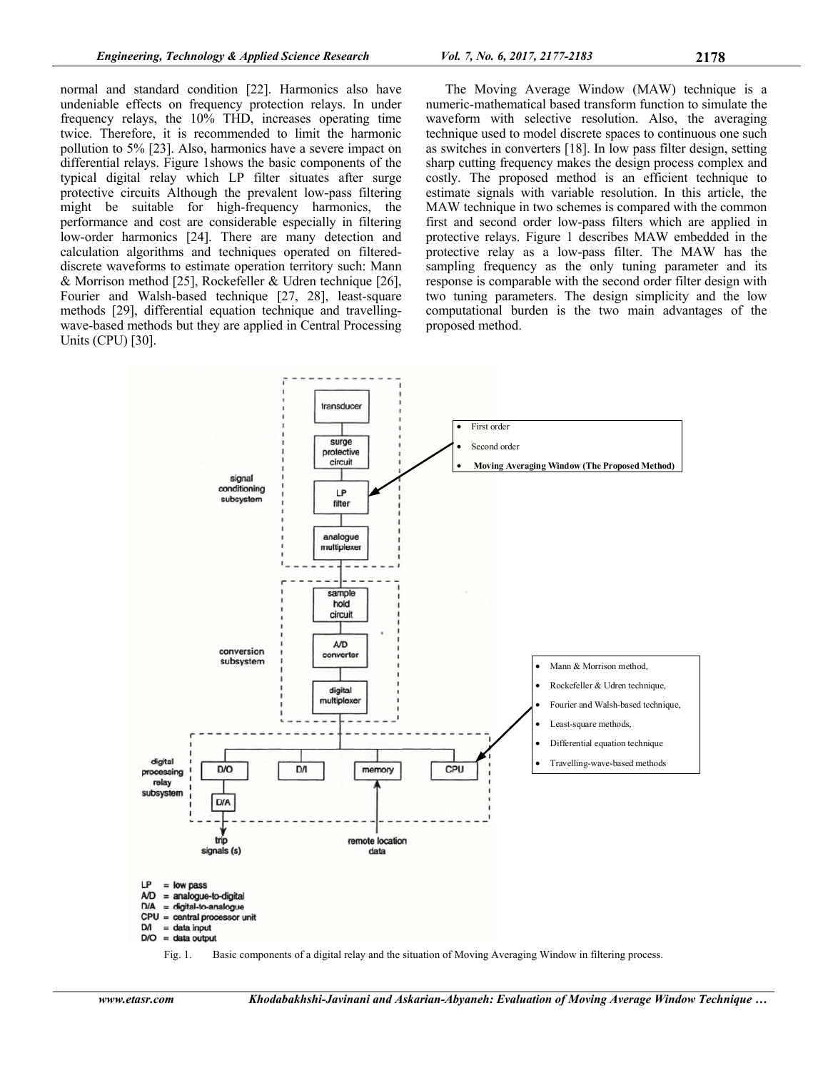normal and standard condition [22]. Harmonics also have undeniable effects on frequency protection relays. In under frequency relays, the 10% THD, increases operating time twice. Therefore, it is recommended to limit the harmonic pollution to 5% [23]. Also, harmonics have a severe impact on differential relays. Figure 1shows the basic components of the typical digital relay which LP filter situates after surge protective circuits Although the prevalent low-pass filtering might be suitable for high-frequency harmonics, the performance and cost are considerable especially in filtering low-order harmonics [24]. There are many detection and calculation algorithms and techniques operated on filtereddiscrete waveforms to estimate operation territory such: Mann & Morrison method [25], Rockefeller & Udren technique [26], Fourier and Walsh-based technique [27, 28], least-square methods [29], differential equation technique and travellingwave-based methods but they are applied in Central Processing Units (CPU) [30].

The Moving Average Window (MAW) technique is a numeric-mathematical based transform function to simulate the waveform with selective resolution. Also, the averaging technique used to model discrete spaces to continuous one such as switches in converters [18]. In low pass filter design, setting sharp cutting frequency makes the design process complex and costly. The proposed method is an efficient technique to estimate signals with variable resolution. In this article, the MAW technique in two schemes is compared with the common first and second order low-pass filters which are applied in protective relays. Figure 1 describes MAW embedded in the protective relay as a low-pass filter. The MAW has the sampling frequency as the only tuning parameter and its response is comparable with the second order filter design with two tuning parameters. The design simplicity and the low computational burden is the two main advantages of the proposed method.



Fig. 1. Basic components of a digital relay and the situation of Moving Averaging Window in filtering process.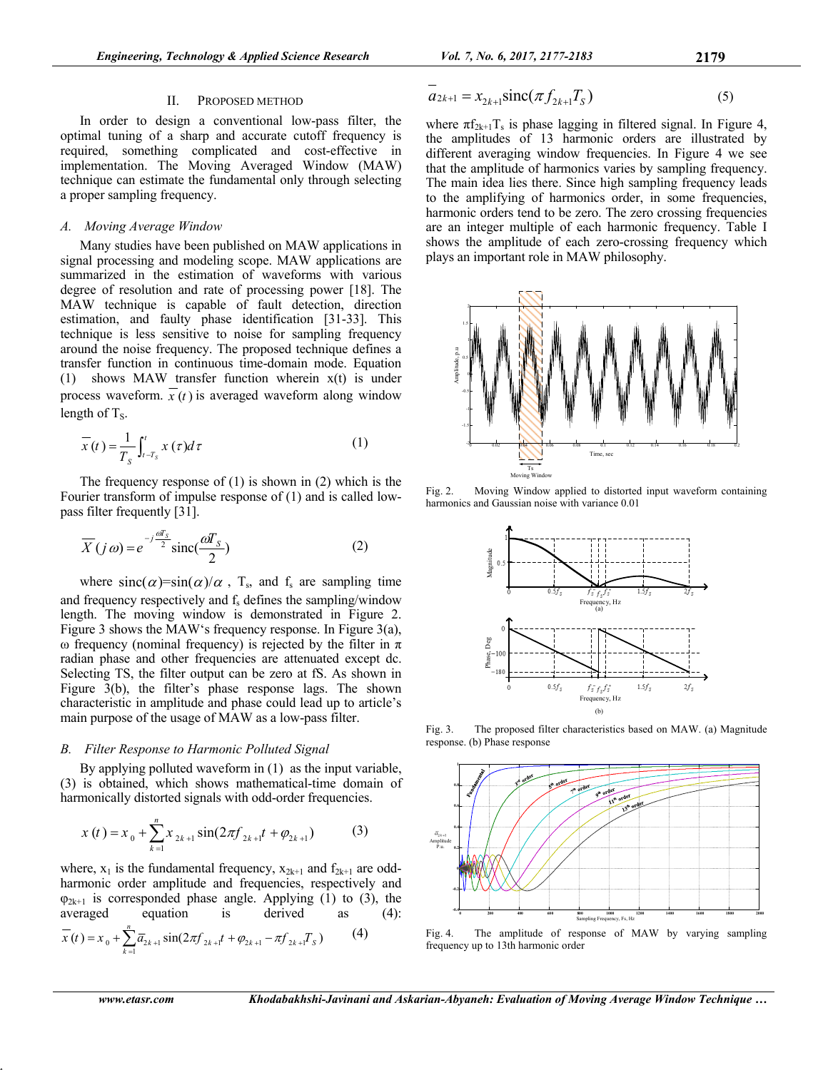## II. PROPOSED METHOD

In order to design a conventional low-pass filter, the optimal tuning of a sharp and accurate cutoff frequency is required, something complicated and cost-effective in implementation. The Moving Averaged Window (MAW) technique can estimate the fundamental only through selecting a proper sampling frequency.

### *A. Moving Average Window*

Many studies have been published on MAW applications in signal processing and modeling scope. MAW applications are summarized in the estimation of waveforms with various degree of resolution and rate of processing power [18]. The MAW technique is capable of fault detection, direction estimation, and faulty phase identification [31-33]. This technique is less sensitive to noise for sampling frequency around the noise frequency. The proposed technique defines a transfer function in continuous time-domain mode. Equation (1) shows MAW transfer function wherein x(t) is under process waveform.  $\overline{x}(t)$  is averaged waveform along window length of  $T_s$ .

$$
\overline{x}(t) = \frac{1}{T_s} \int_{t-T_s}^{t} x(\tau) d\tau
$$
 (1)

The frequency response of (1) is shown in (2) which is the Fourier transform of impulse response of (1) and is called lowpass filter frequently [31].

$$
\overline{X}(j\omega) = e^{-j\frac{\omega T_s}{2}} \text{sinc}(\frac{\omega T_s}{2})
$$
 (2)

where  $sinc(\alpha)=sin(\alpha)/\alpha$ , T<sub>s</sub>, and f<sub>s</sub> are sampling time and frequency respectively and  $f_s$  defines the sampling/window length. The moving window is demonstrated in Figure 2. Figure 3 shows the MAW's frequency response. In Figure 3(a), ω frequency (nominal frequency) is rejected by the filter in  $π$ radian phase and other frequencies are attenuated except dc. Selecting TS, the filter output can be zero at fS. As shown in Figure 3(b), the filter's phase response lags. The shown characteristic in amplitude and phase could lead up to article's main purpose of the usage of MAW as a low-pass filter.

## *B. Filter Response to Harmonic Polluted Signal*

By applying polluted waveform in (1) as the input variable, (3) is obtained, which shows mathematical-time domain of harmonically distorted signals with odd-order frequencies.

$$
x(t) = x_0 + \sum_{k=1}^{n} x_{2k+1} \sin(2\pi f_{2k+1}t + \varphi_{2k+1})
$$
 (3)

where,  $x_1$  is the fundamental frequency,  $x_{2k+1}$  and  $f_{2k+1}$  are oddharmonic order amplitude and frequencies, respectively and  $\varphi_{2k+1}$  is corresponded phase angle. Applying (1) to (3), the averaged equation is derived as (4): equation is derived as  $(4)$ :

$$
\overline{x}(t) = x_0 + \sum_{k=1}^{n} \overline{a}_{2k+1} \sin(2\pi f_{2k+1} t + \varphi_{2k+1} - \pi f_{2k+1} T_s)
$$
(4)

$$
\overline{a}_{2k+1} = x_{2k+1} \text{sinc}(\pi f_{2k+1} T_S)
$$
\n(5)

where  $\pi f_{2k+1}T_s$  is phase lagging in filtered signal. In Figure 4, the amplitudes of 13 harmonic orders are illustrated by different averaging window frequencies. In Figure 4 we see that the amplitude of harmonics varies by sampling frequency. The main idea lies there. Since high sampling frequency leads to the amplifying of harmonics order, in some frequencies, harmonic orders tend to be zero. The zero crossing frequencies are an integer multiple of each harmonic frequency. Table I shows the amplitude of each zero-crossing frequency which plays an important role in MAW philosophy.



Fig. 2. Moving Window applied to distorted input waveform containing harmonics and Gaussian noise with variance 0.01



Fig. 3. The proposed filter characteristics based on MAW. (a) Magnitude response. (b) Phase response



Fig. 4. The amplitude of response of MAW by varying sampling frequency up to 13th harmonic order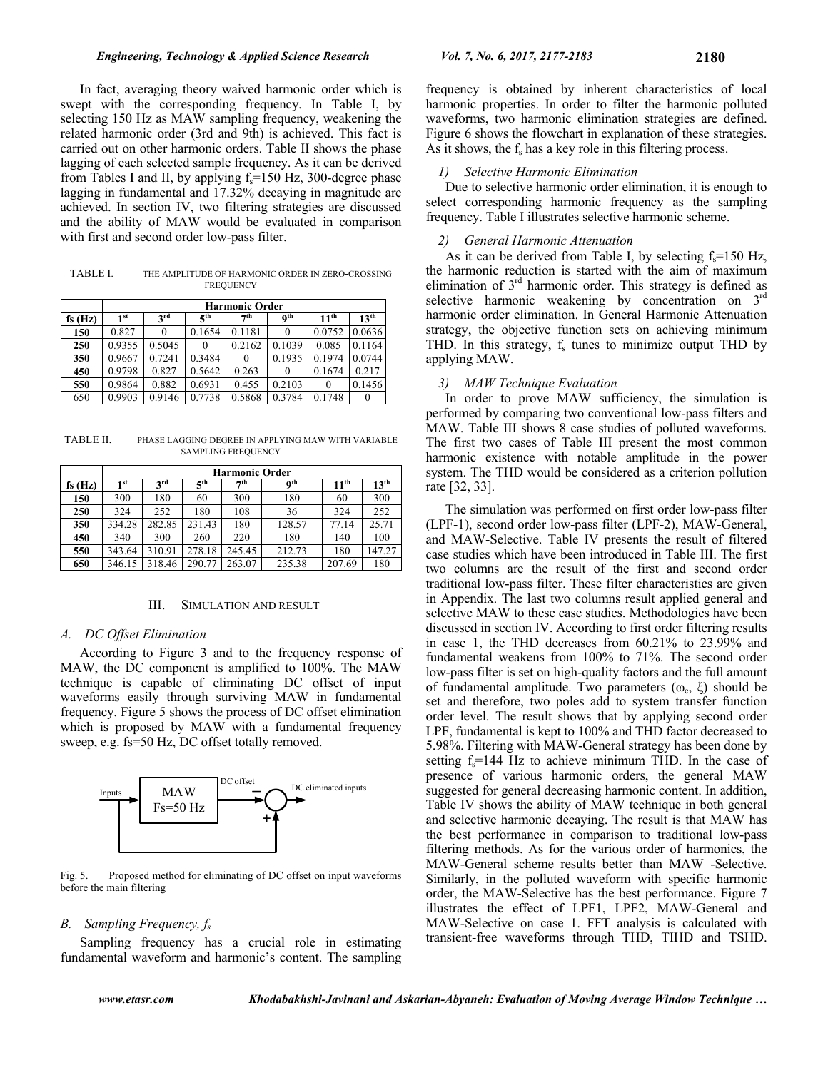In fact, averaging theory waived harmonic order which is swept with the corresponding frequency. In Table I, by selecting 150 Hz as MAW sampling frequency, weakening the related harmonic order (3rd and 9th) is achieved. This fact is carried out on other harmonic orders. Table II shows the phase lagging of each selected sample frequency. As it can be derived from Tables I and II, by applying  $f_s = 150$  Hz, 300-degree phase lagging in fundamental and 17.32% decaying in magnitude are achieved. In section IV, two filtering strategies are discussed and the ability of MAW would be evaluated in comparison with first and second order low-pass filter.

TABLE I. THE AMPLITUDE OF HARMONIC ORDER IN ZERO-CROSSING **FREQUENCY** 

|           | <b>Harmonic Order</b> |                 |                 |          |                 |                  |                  |  |  |  |  |  |  |
|-----------|-----------------------|-----------------|-----------------|----------|-----------------|------------------|------------------|--|--|--|--|--|--|
| fs $(Hz)$ | 1 <sup>st</sup>       | 3 <sup>rd</sup> | 5 <sup>th</sup> |          | 0 <sup>th</sup> | 11 <sup>th</sup> | 13 <sup>th</sup> |  |  |  |  |  |  |
| 150       | 0.827                 | 0               | 0.1654          | 0.1181   | $\theta$        | 0.0752           | 0.0636           |  |  |  |  |  |  |
| 250       | 0.9355                | 0.5045          |                 | 0.2162   | 0.1039          | 0.085            | 0.1164           |  |  |  |  |  |  |
| 350       | 0.9667                | 0.7241          | 0.3484          | $\theta$ | 0.1935          | 0.1974           | 0.0744           |  |  |  |  |  |  |
| 450       | 0.9798                | 0.827           | 0.5642          | 0.263    | $\theta$        | 0.1674           | 0.217            |  |  |  |  |  |  |
| 550       | 0.9864                | 0.882           | 0.6931          | 0.455    | 0.2103          |                  | 0.1456           |  |  |  |  |  |  |
| 650       | 0.9903                | 0.9146          | 0.7738          | 0.5868   | 0.3784          | 0.1748           | $\theta$         |  |  |  |  |  |  |

TABLE II. PHASE LAGGING DEGREE IN APPLYING MAW WITH VARIABLE SAMPLING FREQUENCY

|        | <b>Harmonic Order</b> |                 |                 |           |            |                  |                  |  |  |  |  |  |  |
|--------|-----------------------|-----------------|-----------------|-----------|------------|------------------|------------------|--|--|--|--|--|--|
| fs(Hz) | 1 <sup>st</sup>       | 3 <sup>rd</sup> | 5 <sup>th</sup> | $\tau$ th | <b>Qth</b> | 11 <sup>th</sup> | 13 <sup>th</sup> |  |  |  |  |  |  |
| 150    | 300                   | 180             | 60              | 300       | 180        | 60               | 300              |  |  |  |  |  |  |
| 250    | 324                   | 252             | 180             | 108       | 36         | 324              | 252              |  |  |  |  |  |  |
| 350    | 334.28                | 282.85          | 231.43          | 180       | 128.57     | 77.14            | 25.71            |  |  |  |  |  |  |
| 450    | 340                   | 300             | 260             | 220       | 180        | 140              | 100              |  |  |  |  |  |  |
| 550    | 343.64                | 310.91          | 278.18          | 245.45    | 212.73     | 180              | 147.27           |  |  |  |  |  |  |
| 650    | 346.15                | 318.46          | 290.77          | 263.07    | 235.38     | 207.69           | 180              |  |  |  |  |  |  |

#### III. SIMULATION AND RESULT

#### *A. DC Offset Elimination*

According to Figure 3 and to the frequency response of MAW, the DC component is amplified to 100%. The MAW technique is capable of eliminating DC offset of input waveforms easily through surviving MAW in fundamental frequency. Figure 5 shows the process of DC offset elimination which is proposed by MAW with a fundamental frequency sweep, e.g. fs=50 Hz, DC offset totally removed.



Fig. 5. Proposed method for eliminating of DC offset on input waveforms before the main filtering

## *B. Sampling Frequency, fs*

Sampling frequency has a crucial role in estimating fundamental waveform and harmonic's content. The sampling frequency is obtained by inherent characteristics of local harmonic properties. In order to filter the harmonic polluted waveforms, two harmonic elimination strategies are defined. Figure 6 shows the flowchart in explanation of these strategies. As it shows, the  $f_s$  has a key role in this filtering process.

## *1) Selective Harmonic Elimination*

Due to selective harmonic order elimination, it is enough to select corresponding harmonic frequency as the sampling frequency. Table I illustrates selective harmonic scheme.

### *2) General Harmonic Attenuation*

As it can be derived from Table I, by selecting  $f_s = 150$  Hz, the harmonic reduction is started with the aim of maximum elimination of  $3<sup>rd</sup>$  harmonic order. This strategy is defined as selective harmonic weakening by concentration on 3<sup>rd</sup> harmonic order elimination. In General Harmonic Attenuation strategy, the objective function sets on achieving minimum THD. In this strategy,  $f_s$  tunes to minimize output THD by applying MAW.

#### *3) MAW Technique Evaluation*

In order to prove MAW sufficiency, the simulation is performed by comparing two conventional low-pass filters and MAW. Table III shows 8 case studies of polluted waveforms. The first two cases of Table III present the most common harmonic existence with notable amplitude in the power system. The THD would be considered as a criterion pollution rate [32, 33].

The simulation was performed on first order low-pass filter (LPF-1), second order low-pass filter (LPF-2), MAW-General, and MAW-Selective. Table IV presents the result of filtered case studies which have been introduced in Table III. The first two columns are the result of the first and second order traditional low-pass filter. These filter characteristics are given in Appendix. The last two columns result applied general and selective MAW to these case studies. Methodologies have been discussed in section IV. According to first order filtering results in case 1, the THD decreases from 60.21% to 23.99% and fundamental weakens from 100% to 71%. The second order low-pass filter is set on high-quality factors and the full amount of fundamental amplitude. Two parameters ( $ω<sub>c</sub>$ , ξ) should be set and therefore, two poles add to system transfer function order level. The result shows that by applying second order LPF, fundamental is kept to 100% and THD factor decreased to 5.98%. Filtering with MAW-General strategy has been done by setting  $f_s = 144$  Hz to achieve minimum THD. In the case of presence of various harmonic orders, the general MAW suggested for general decreasing harmonic content. In addition, Table IV shows the ability of MAW technique in both general and selective harmonic decaying. The result is that MAW has the best performance in comparison to traditional low-pass filtering methods. As for the various order of harmonics, the MAW-General scheme results better than MAW -Selective. Similarly, in the polluted waveform with specific harmonic order, the MAW-Selective has the best performance. Figure 7 illustrates the effect of LPF1, LPF2, MAW-General and MAW-Selective on case 1. FFT analysis is calculated with transient-free waveforms through THD, TIHD and TSHD.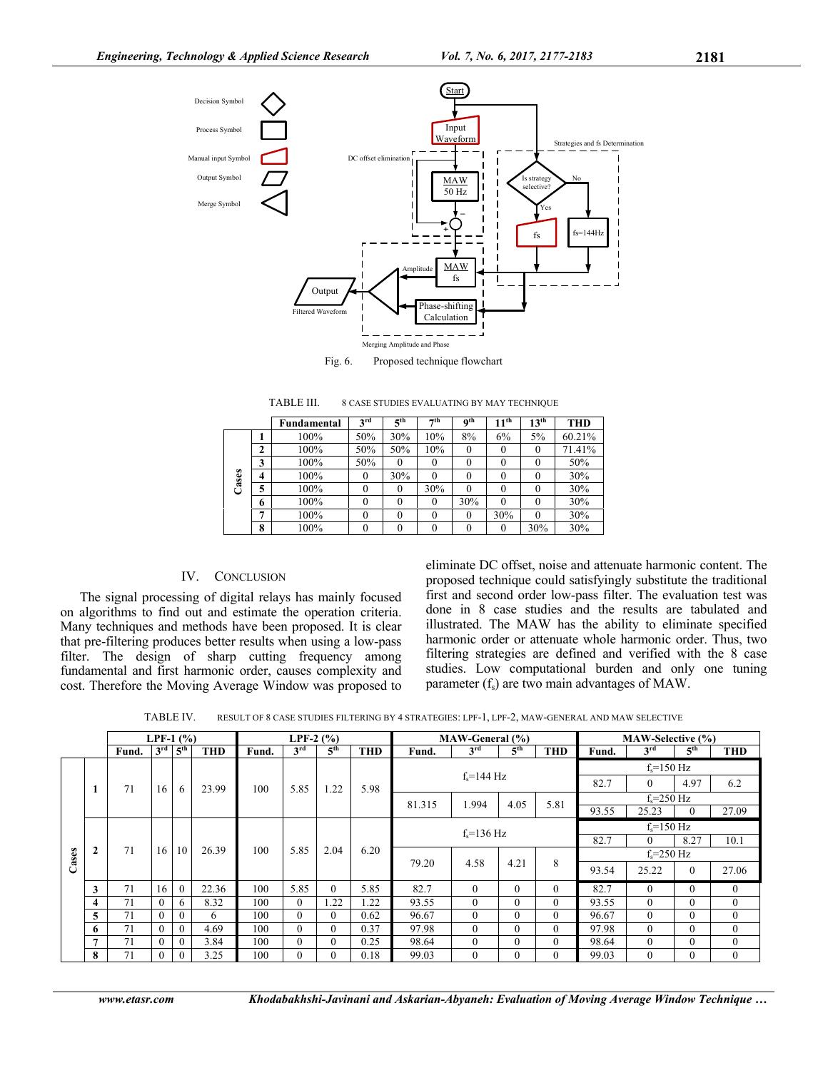

Fig. 6. Proposed technique flowchart

|       |                | Fundamental | 3 <sup>rd</sup> | 5 <sup>th</sup> | $\neg$ th | 0 <sup>th</sup> | 11 <sup>th</sup> | 13 <sup>th</sup> | <b>THD</b> |
|-------|----------------|-------------|-----------------|-----------------|-----------|-----------------|------------------|------------------|------------|
|       |                | 100%        | 50%             | 30%             | 10%       | 8%              | 6%               | 5%               | 60.21%     |
| Cases | $\mathbf{2}$   | 100%        | 50%             | 50%             | 10%       |                 | 0                |                  | 71.41%     |
|       | 3              | 100%        | 50%             |                 |           | 0               | $\theta$         |                  | 50%        |
|       | $\overline{4}$ | 100%        |                 | 30%             | 0         |                 | 0                |                  | 30%        |
|       | 5              | 100%        |                 |                 | 30%       |                 | 0                |                  | 30%        |
|       | 6              | 100%        |                 |                 | 0         | 30%             | 0                |                  | 30%        |
|       | $\overline{ }$ | 100%        | 0               |                 | 0         | 0               | 30%              |                  | 30%        |
|       | 8              | 100%        |                 |                 |           |                 | $\theta$         | 30%              | 30%        |

TABLE III. 8 CASE STUDIES EVALUATING BY MAY TECHNIQUE

## IV. CONCLUSION

The signal processing of digital relays has mainly focused on algorithms to find out and estimate the operation criteria. Many techniques and methods have been proposed. It is clear that pre-filtering produces better results when using a low-pass filter. The design of sharp cutting frequency among fundamental and first harmonic order, causes complexity and cost. Therefore the Moving Average Window was proposed to

eliminate DC offset, noise and attenuate harmonic content. The proposed technique could satisfyingly substitute the traditional first and second order low-pass filter. The evaluation test was done in 8 case studies and the results are tabulated and illustrated. The MAW has the ability to eliminate specified harmonic order or attenuate whole harmonic order. Thus, two filtering strategies are defined and verified with the 8 case studies. Low computational burden and only one tuning parameter  $(f_s)$  are two main advantages of MAW.

TABLE IV. RESULT OF 8 CASE STUDIES FILTERING BY 4 STRATEGIES: LPF-1, LPF-2, MAW-GENERAL AND MAW SELECTIVE

|       |                | LPF-1 $(% )$ |          |                                 |            | LPF-2 $(% )$ |                 |                 | MAW-General (%) |                        |                 |                 | MAW-Selective (%) |                |                |                 |              |
|-------|----------------|--------------|----------|---------------------------------|------------|--------------|-----------------|-----------------|-----------------|------------------------|-----------------|-----------------|-------------------|----------------|----------------|-----------------|--------------|
|       |                | Fund.        |          | $3^{\text{rd}}$ $5^{\text{th}}$ | <b>THD</b> | Fund.        | 3 <sup>rd</sup> | 5 <sup>th</sup> | <b>THD</b>      | Fund.                  | 3 <sup>rd</sup> | 5 <sup>th</sup> | <b>THD</b>        | Fund.          | 3rd            | 5 <sup>th</sup> | <b>THD</b>   |
|       |                |              |          |                                 |            |              |                 |                 |                 |                        |                 |                 | $fs=150 Hz$       |                |                |                 |              |
|       |                | 71           | 16       | 6                               | 23.99      | 100          | 5.85            | 1.22            | 5.98            | $f_s = 144 \text{ Hz}$ |                 |                 |                   | 82.7           | $\theta$       | 4.97            | 6.2          |
|       |                |              |          |                                 |            |              |                 |                 |                 | 81.315<br>1.994        | 4.05            | 5.81            |                   | $f_s = 250$ Hz |                |                 |              |
|       |                |              |          |                                 |            |              |                 |                 |                 |                        |                 |                 |                   | 93.55          | 25.23          | $\theta$        | 27.09        |
|       |                |              |          |                                 |            |              | 5.85            | 2.04            | 6.20            |                        | $f_s = 136$ Hz  |                 |                   |                | $f_s = 150$ Hz |                 |              |
|       |                |              |          |                                 |            | 100          |                 |                 |                 |                        |                 |                 | 82.7              |                | 8.27           | 10.1            |              |
| Cases | $\mathbf{2}$   | 71           |          | $16 \mid 10$                    | 26.39      |              |                 |                 |                 | 79.20                  | 4.58<br>4.21    |                 |                   | $f_s = 250$ Hz |                |                 |              |
|       |                |              |          |                                 |            |              |                 |                 |                 |                        |                 |                 | 8                 | 93.54          | 25.22          | $\theta$        | 27.06        |
|       | 3              | 71           | 16       | $\theta$                        | 22.36      | 100          | 5.85            | $\theta$        | 5.85            | 82.7                   | $\mathbf{0}$    | $\theta$        | $\theta$          | 82.7           | $\theta$       | $\theta$        | $\mathbf{0}$ |
|       | 4              | 71           | $\theta$ | 6                               | 8.32       | 100          | $\theta$        | 1.22            | 1.22            | 93.55                  | $\theta$        | $\theta$        | $\Omega$          | 93.55          | $\theta$       | $\theta$        | $\mathbf{0}$ |
|       | 5              | 71           | $\theta$ | $\theta$                        | 6          | 100          | $\theta$        | $\Omega$        | 0.62            | 96.67                  | $\theta$        | $\theta$        | $\Omega$          | 96.67          | $\theta$       | $\theta$        | $\mathbf{0}$ |
|       | 6              | 71           | $\theta$ | $\Omega$                        | 4.69       | 100          | $\Omega$        | 0               | 0.37            | 97.98                  | $\theta$        | $\theta$        | $\Omega$          | 97.98          | $\Omega$       | $\theta$        | $\Omega$     |
|       | $\overline{7}$ | 71           | $\theta$ | $\theta$                        | 3.84       | 100          | $\theta$        | 0               | 0.25            | 98.64                  | $\theta$        | $\theta$        | $\Omega$          | 98.64          | $\Omega$       | $\theta$        | $\mathbf{0}$ |
|       | 8              | 71           | $\Omega$ | $\Omega$                        | 3.25       | 100          | $\Omega$        | 0               | 0.18            | 99.03                  | $\theta$        | $\Omega$        | $\Omega$          | 99.03          | $\Omega$       | $\Omega$        | $\theta$     |

*www.etasr.com Khodabakhshi-Javinani and Askarian-Abyaneh: Evaluation of Moving Average Window Technique …*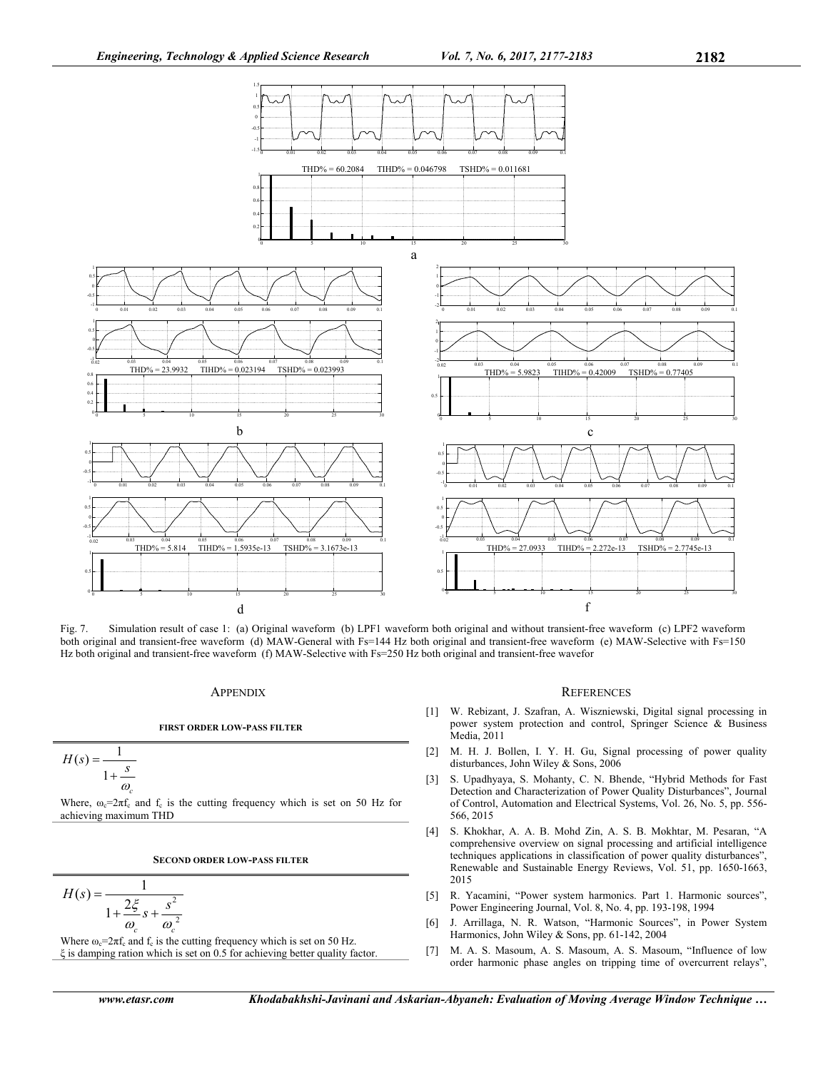

Fig. 7. Simulation result of case 1: (a) Original waveform (b) LPF1 waveform both original and without transient-free waveform (c) LPF2 waveform both original and transient-free waveform (d) MAW-General with Fs=144 Hz both original and transient-free waveform (e) MAW-Selective with Fs=150 Hz both original and transient-free waveform (f) MAW-Selective with Fs=250 Hz both original and transient-free wavefor

## **APPENDIX**

#### **FIRST ORDER LOW-PASS FILTER**

$$
H(s) = \frac{1}{1 + \frac{s}{\omega_c}}
$$

Where,  $\omega_c = 2\pi f_c$  and  $f_c$  is the cutting frequency which is set on 50 Hz for achieving maximum THD

#### **SECOND ORDER LOW-PASS FILTER**

$$
H(s) = \frac{1}{1 + \frac{2\xi}{\omega_c} s + \frac{s^2}{\omega_c^2}}
$$

Where  $\omega_c = 2\pi f_c$  and  $f_c$  is the cutting frequency which is set on 50 Hz. ξ is damping ration which is set on 0.5 for achieving better quality factor.

#### *www.etasr.com Khodabakhshi-Javinani and Askarian-Abyaneh: Evaluation of Moving Average Window Technique …*

#### **REFERENCES**

- [1] W. Rebizant, J. Szafran, A. Wiszniewski, Digital signal processing in power system protection and control, Springer Science & Business Media, 2011
- [2] M. H. J. Bollen, I. Y. H. Gu, Signal processing of power quality disturbances, John Wiley & Sons, 2006
- [3] S. Upadhyaya, S. Mohanty, C. N. Bhende, "Hybrid Methods for Fast Detection and Characterization of Power Quality Disturbances", Journal of Control, Automation and Electrical Systems, Vol. 26, No. 5, pp. 556- 566, 2015
- [4] S. Khokhar, A. A. B. Mohd Zin, A. S. B. Mokhtar, M. Pesaran, "A comprehensive overview on signal processing and artificial intelligence techniques applications in classification of power quality disturbances", Renewable and Sustainable Energy Reviews, Vol. 51, pp. 1650-1663, 2015
- [5] R. Yacamini, "Power system harmonics. Part 1. Harmonic sources", Power Engineering Journal, Vol. 8, No. 4, pp. 193-198, 1994
- [6] J. Arrillaga, N. R. Watson, "Harmonic Sources", in Power System Harmonics, John Wiley & Sons, pp. 61-142, 2004
- [7] M. A. S. Masoum, A. S. Masoum, A. S. Masoum, "Influence of low order harmonic phase angles on tripping time of overcurrent relays",